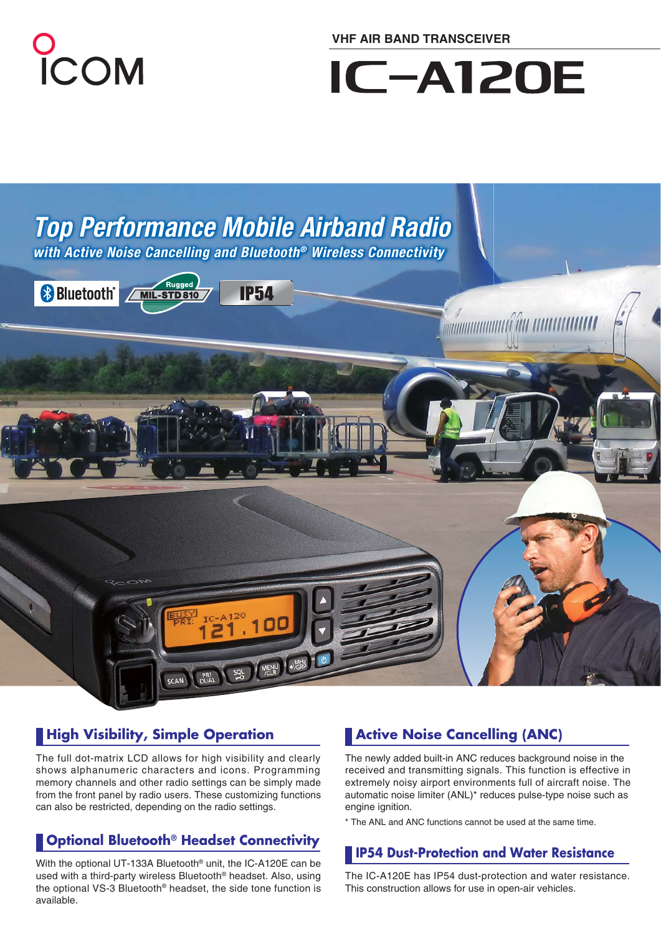

**VHF AIR BAND TRANSCEIVER**

# **IC-A120E**



### **High Visibility, Simple Operation <b>Active Noise Cancelling (ANC)**

The full dot-matrix LCD allows for high visibility and clearly shows alphanumeric characters and icons. Programming memory channels and other radio settings can be simply made from the front panel by radio users. These customizing functions can also be restricted, depending on the radio settings.

## **IP54 Dust-Protection and Water Resistance**

With the optional UT-133A Bluetooth® unit, the IC-A120E can be used with a third-party wireless Bluetooth® headset. Also, using the optional VS-3 Bluetooth® headset, the side tone function is available.

The newly added built-in ANC reduces background noise in the received and transmitting signals. This function is effective in extremely noisy airport environments full of aircraft noise. The automatic noise limiter (ANL)\* reduces pulse-type noise such as engine ignition.

\* The ANL and ANC functions cannot be used at the same time.

The IC-A120E has IP54 dust-protection and water resistance. This construction allows for use in open-air vehicles.